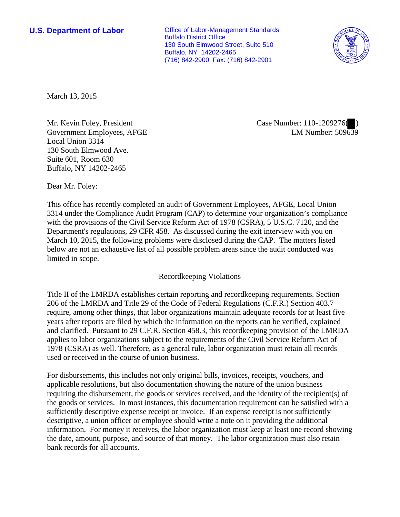**U.S. Department of Labor Conservative Conservative Conservative Conservative Conservative Conservative Conservative Conservative Conservative Conservative Conservative Conservative Conservative Conservative Conservative** Buffalo District Office 130 South Elmwood Street, Suite 510 Buffalo, NY 14202-2465 (716) 842-2900 Fax: (716) 842-2901



March 13, 2015

Mr. Kevin Foley, President Government Employees, AFGE Local Union 3314 130 South Elmwood Ave. Suite 601, Room 630 Buffalo, NY 14202-2465

Case Number: 110-1209276( ) LM Number:  $509\overline{63}9$ 

Dear Mr. Foley:

This office has recently completed an audit of Government Employees, AFGE, Local Union 3314 under the Compliance Audit Program (CAP) to determine your organization's compliance with the provisions of the Civil Service Reform Act of 1978 (CSRA), 5 U.S.C. 7120, and the Department's regulations, 29 CFR 458. As discussed during the exit interview with you on March 10, 2015, the following problems were disclosed during the CAP. The matters listed below are not an exhaustive list of all possible problem areas since the audit conducted was limited in scope.

## Recordkeeping Violations

Title II of the LMRDA establishes certain reporting and recordkeeping requirements. Section 206 of the LMRDA and Title 29 of the Code of Federal Regulations (C.F.R.) Section 403.7 require, among other things, that labor organizations maintain adequate records for at least five years after reports are filed by which the information on the reports can be verified, explained and clarified. Pursuant to 29 C.F.R. Section 458.3, this recordkeeping provision of the LMRDA applies to labor organizations subject to the requirements of the Civil Service Reform Act of 1978 (CSRA) as well. Therefore, as a general rule, labor organization must retain all records used or received in the course of union business.

For disbursements, this includes not only original bills, invoices, receipts, vouchers, and applicable resolutions, but also documentation showing the nature of the union business requiring the disbursement, the goods or services received, and the identity of the recipient(s) of the goods or services. In most instances, this documentation requirement can be satisfied with a sufficiently descriptive expense receipt or invoice. If an expense receipt is not sufficiently descriptive, a union officer or employee should write a note on it providing the additional information. For money it receives, the labor organization must keep at least one record showing the date, amount, purpose, and source of that money. The labor organization must also retain bank records for all accounts.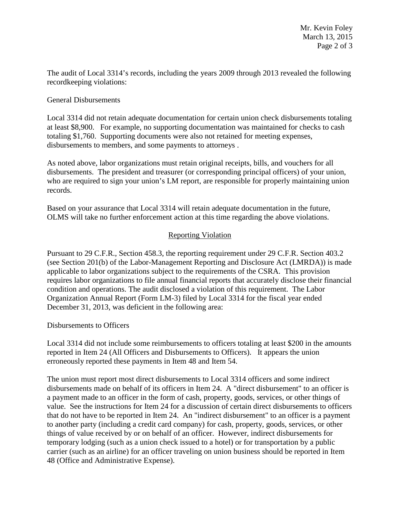The audit of Local 3314's records, including the years 2009 through 2013 revealed the following recordkeeping violations:

## General Disbursements

Local 3314 did not retain adequate documentation for certain union check disbursements totaling at least \$8,900. For example, no supporting documentation was maintained for checks to cash totaling \$1,760. Supporting documents were also not retained for meeting expenses, disbursements to members, and some payments to attorneys .

As noted above, labor organizations must retain original receipts, bills, and vouchers for all disbursements. The president and treasurer (or corresponding principal officers) of your union, who are required to sign your union's LM report, are responsible for properly maintaining union records.

Based on your assurance that Local 3314 will retain adequate documentation in the future, OLMS will take no further enforcement action at this time regarding the above violations.

## Reporting Violation

Pursuant to 29 C.F.R., Section 458.3, the reporting requirement under 29 C.F.R. Section 403.2 (see Section 201(b) of the Labor-Management Reporting and Disclosure Act (LMRDA)) is made applicable to labor organizations subject to the requirements of the CSRA. This provision requires labor organizations to file annual financial reports that accurately disclose their financial condition and operations. The audit disclosed a violation of this requirement. The Labor Organization Annual Report (Form LM-3) filed by Local 3314 for the fiscal year ended December 31, 2013, was deficient in the following area:

Disbursements to Officers

Local 3314 did not include some reimbursements to officers totaling at least \$200 in the amounts reported in Item 24 (All Officers and Disbursements to Officers). It appears the union erroneously reported these payments in Item 48 and Item 54.

The union must report most direct disbursements to Local 3314 officers and some indirect disbursements made on behalf of its officers in Item 24. A "direct disbursement" to an officer is a payment made to an officer in the form of cash, property, goods, services, or other things of value. See the instructions for Item 24 for a discussion of certain direct disbursements to officers that do not have to be reported in Item 24. An "indirect disbursement" to an officer is a payment to another party (including a credit card company) for cash, property, goods, services, or other things of value received by or on behalf of an officer. However, indirect disbursements for temporary lodging (such as a union check issued to a hotel) or for transportation by a public carrier (such as an airline) for an officer traveling on union business should be reported in Item 48 (Office and Administrative Expense).